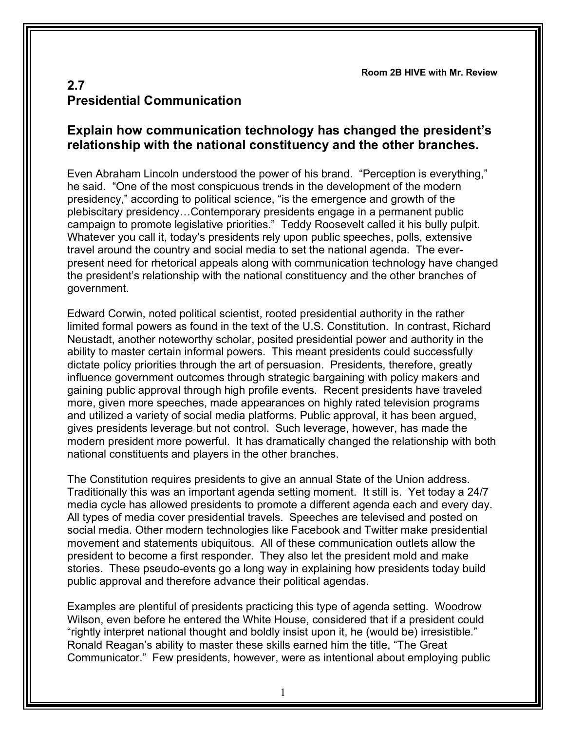**Room 2B HIVE with Mr. Review**

## **2.7 Presidential Communication**

## **Explain how communication technology has changed the president's relationship with the national constituency and the other branches.**

Even Abraham Lincoln understood the power of his brand. "Perception is everything," he said. "One of the most conspicuous trends in the development of the modern presidency," according to political science, "is the emergence and growth of the plebiscitary presidency…Contemporary presidents engage in a permanent public campaign to promote legislative priorities." Teddy Roosevelt called it his bully pulpit. Whatever you call it, today's presidents rely upon public speeches, polls, extensive travel around the country and social media to set the national agenda. The everpresent need for rhetorical appeals along with communication technology have changed the president's relationship with the national constituency and the other branches of government.

Edward Corwin, noted political scientist, rooted presidential authority in the rather limited formal powers as found in the text of the U.S. Constitution. In contrast, Richard Neustadt, another noteworthy scholar, posited presidential power and authority in the ability to master certain informal powers. This meant presidents could successfully dictate policy priorities through the art of persuasion. Presidents, therefore, greatly influence government outcomes through strategic bargaining with policy makers and gaining public approval through high profile events. Recent presidents have traveled more, given more speeches, made appearances on highly rated television programs and utilized a variety of social media platforms. Public approval, it has been argued, gives presidents leverage but not control. Such leverage, however, has made the modern president more powerful. It has dramatically changed the relationship with both national constituents and players in the other branches.

The Constitution requires presidents to give an annual State of the Union address. Traditionally this was an important agenda setting moment. It still is. Yet today a 24/7 media cycle has allowed presidents to promote a different agenda each and every day. All types of media cover presidential travels. Speeches are televised and posted on social media. Other modern technologies like Facebook and Twitter make presidential movement and statements ubiquitous. All of these communication outlets allow the president to become a first responder. They also let the president mold and make stories. These pseudo-events go a long way in explaining how presidents today build public approval and therefore advance their political agendas.

Examples are plentiful of presidents practicing this type of agenda setting. Woodrow Wilson, even before he entered the White House, considered that if a president could "rightly interpret national thought and boldly insist upon it, he (would be) irresistible." Ronald Reagan's ability to master these skills earned him the title, "The Great Communicator." Few presidents, however, were as intentional about employing public